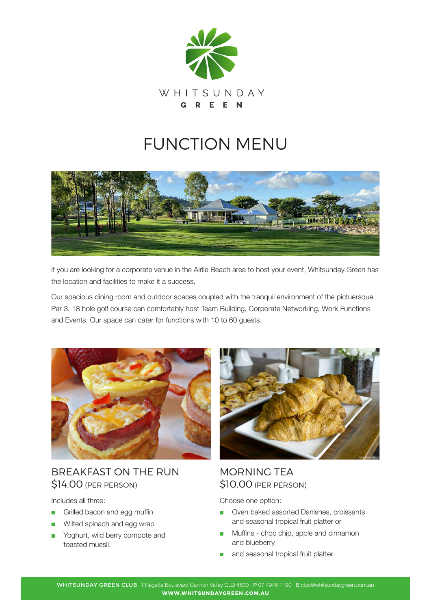

# FUNCTION MENU



If you are looking for a corporate venue in the Airlie Beach area to host your event, Whitsunday Green has the location and facilities to make it a success.

Our spacious dining room and outdoor spaces coupled with the tranquil environment of the pictuersque Par 3, 18 hole golf course can comfortably host Team Building, Corporate Networking, Work Functions and Events. Our space can cater for functions with 10 to 60 guests.



BREAKFAST ON THE RUN \$14.00 (PER PERSON)

Includes all three:

- Grilled bacon and egg muffin
- Wilted spinach and egg wrap
- Yoghurt, wild berry compote and toasted muesli.



## MORNING TEA \$10.00 (PER PERSON)

Choose one option:

- Oven baked assorted Danishes, croissants and seasonal tropical fruit platter or
- Muffins choc chip, apple and cinnamon and blueberry
- and seasonal tropical fruit platter